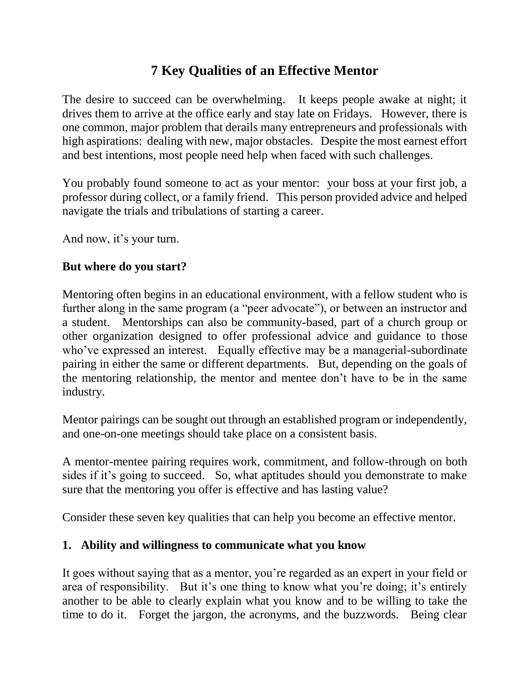# **7 Key Qualities of an Effective Mentor**

The desire to succeed can be overwhelming. It keeps people awake at night; it drives them to arrive at the office early and stay late on Fridays. However, there is one common, major problem that derails many entrepreneurs and professionals with high aspirations: dealing with new, major obstacles. Despite the most earnest effort and best intentions, most people need help when faced with such challenges.

You probably found someone to act as your mentor: your boss at your first job, a professor during collect, or a family friend. This person provided advice and helped navigate the trials and tribulations of starting a career.

And now, it's your turn.

### **But where do you start?**

Mentoring often begins in an educational environment, with a fellow student who is further along in the same program (a "peer advocate"), or between an instructor and a student. Mentorships can also be community-based, part of a church group or other organization designed to offer professional advice and guidance to those who've expressed an interest. Equally effective may be a managerial-subordinate pairing in either the same or different departments. But, depending on the goals of the mentoring relationship, the mentor and mentee don't have to be in the same industry.

Mentor pairings can be sought out through an established program or independently, and one-on-one meetings should take place on a consistent basis.

A mentor-mentee pairing requires work, commitment, and follow-through on both sides if it's going to succeed. So, what aptitudes should you demonstrate to make sure that the mentoring you offer is effective and has lasting value?

Consider these seven key qualities that can help you become an effective mentor.

### **1. Ability and willingness to communicate what you know**

It goes without saying that as a mentor, you're regarded as an expert in your field or area of responsibility. But it's one thing to know what you're doing; it's entirely another to be able to clearly explain what you know and to be willing to take the time to do it. Forget the jargon, the acronyms, and the buzzwords. Being clear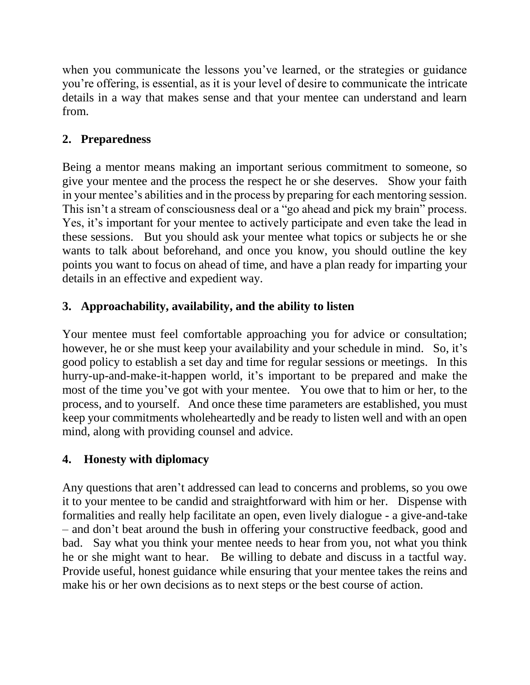when you communicate the lessons you've learned, or the strategies or guidance you're offering, is essential, as it is your level of desire to communicate the intricate details in a way that makes sense and that your mentee can understand and learn from.

# **2. Preparedness**

Being a mentor means making an important serious commitment to someone, so give your mentee and the process the respect he or she deserves. Show your faith in your mentee's abilities and in the process by preparing for each mentoring session. This isn't a stream of consciousness deal or a "go ahead and pick my brain" process. Yes, it's important for your mentee to actively participate and even take the lead in these sessions. But you should ask your mentee what topics or subjects he or she wants to talk about beforehand, and once you know, you should outline the key points you want to focus on ahead of time, and have a plan ready for imparting your details in an effective and expedient way.

# **3. Approachability, availability, and the ability to listen**

Your mentee must feel comfortable approaching you for advice or consultation; however, he or she must keep your availability and your schedule in mind. So, it's good policy to establish a set day and time for regular sessions or meetings. In this hurry-up-and-make-it-happen world, it's important to be prepared and make the most of the time you've got with your mentee. You owe that to him or her, to the process, and to yourself. And once these time parameters are established, you must keep your commitments wholeheartedly and be ready to listen well and with an open mind, along with providing counsel and advice.

# **4. Honesty with diplomacy**

Any questions that aren't addressed can lead to concerns and problems, so you owe it to your mentee to be candid and straightforward with him or her. Dispense with formalities and really help facilitate an open, even lively dialogue - a give-and-take – and don't beat around the bush in offering your constructive feedback, good and bad. Say what you think your mentee needs to hear from you, not what you think he or she might want to hear. Be willing to debate and discuss in a tactful way. Provide useful, honest guidance while ensuring that your mentee takes the reins and make his or her own decisions as to next steps or the best course of action.